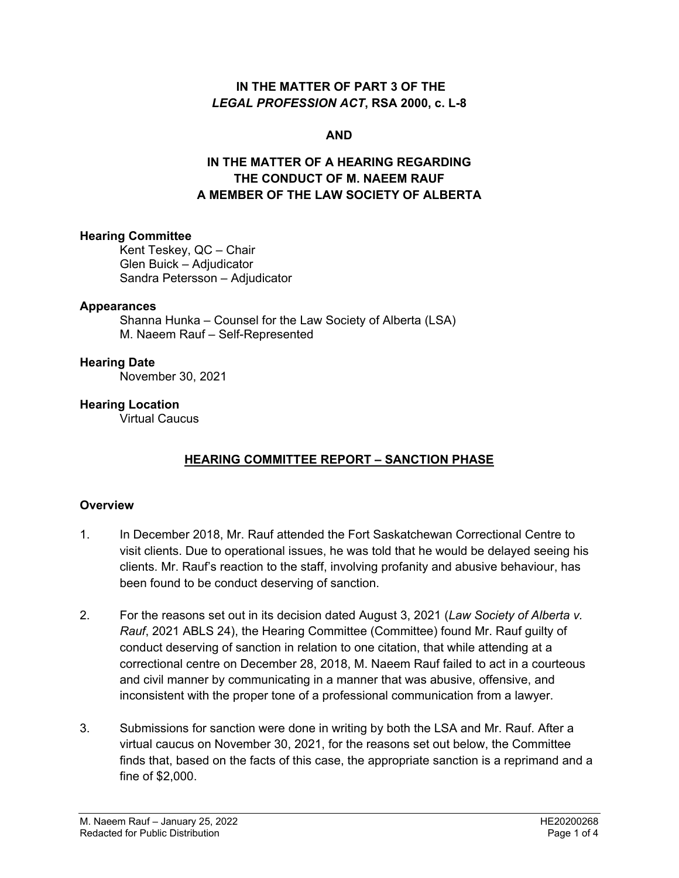#### **IN THE MATTER OF PART 3 OF THE**  *LEGAL PROFESSION ACT***, RSA 2000, c. L-8**

#### **AND**

## **IN THE MATTER OF A HEARING REGARDING THE CONDUCT OF M. NAEEM RAUF A MEMBER OF THE LAW SOCIETY OF ALBERTA**

#### **Hearing Committee**

Kent Teskey, QC – Chair Glen Buick – Adjudicator Sandra Petersson – Adjudicator

#### **Appearances**

Shanna Hunka – Counsel for the Law Society of Alberta (LSA) M. Naeem Rauf – Self-Represented

#### **Hearing Date**

November 30, 2021

#### **Hearing Location**

Virtual Caucus

# **HEARING COMMITTEE REPORT – SANCTION PHASE**

## **Overview**

- 1. In December 2018, Mr. Rauf attended the Fort Saskatchewan Correctional Centre to visit clients. Due to operational issues, he was told that he would be delayed seeing his clients. Mr. Rauf's reaction to the staff, involving profanity and abusive behaviour, has been found to be conduct deserving of sanction.
- 2. For the reasons set out in its decision dated August 3, 2021 (*Law Society of Alberta v. Rauf*, 2021 ABLS 24), the Hearing Committee (Committee) found Mr. Rauf guilty of conduct deserving of sanction in relation to one citation, that while attending at a correctional centre on December 28, 2018, M. Naeem Rauf failed to act in a courteous and civil manner by communicating in a manner that was abusive, offensive, and inconsistent with the proper tone of a professional communication from a lawyer.
- 3. Submissions for sanction were done in writing by both the LSA and Mr. Rauf. After a virtual caucus on November 30, 2021, for the reasons set out below, the Committee finds that, based on the facts of this case, the appropriate sanction is a reprimand and a fine of \$2,000.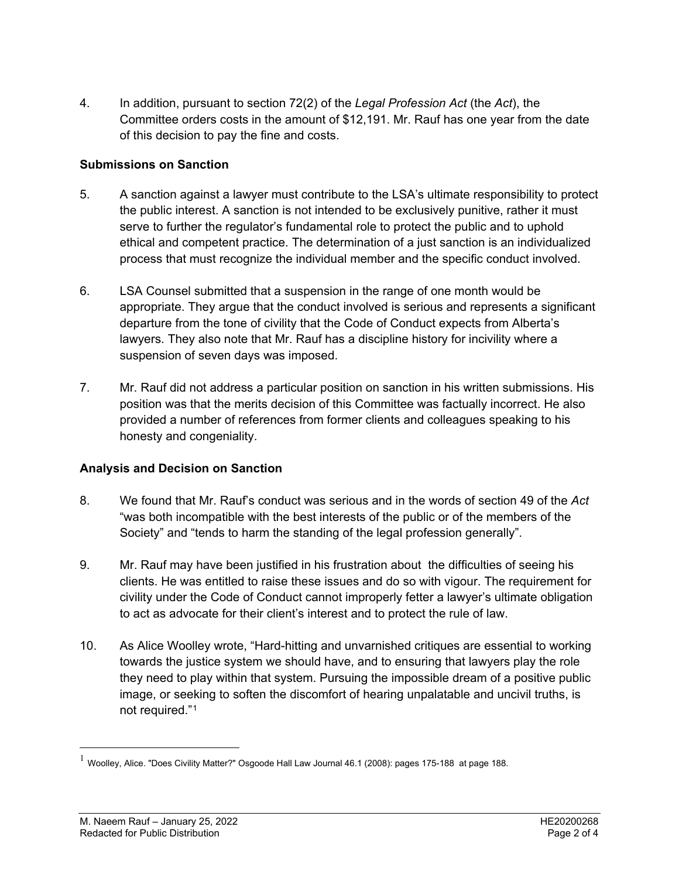4. In addition, pursuant to section 72(2) of the *Legal Profession Act* (the *Act*), the Committee orders costs in the amount of \$12,191. Mr. Rauf has one year from the date of this decision to pay the fine and costs.

## **Submissions on Sanction**

- 5. A sanction against a lawyer must contribute to the LSA's ultimate responsibility to protect the public interest. A sanction is not intended to be exclusively punitive, rather it must serve to further the regulator's fundamental role to protect the public and to uphold ethical and competent practice. The determination of a just sanction is an individualized process that must recognize the individual member and the specific conduct involved.
- 6. LSA Counsel submitted that a suspension in the range of one month would be appropriate. They argue that the conduct involved is serious and represents a significant departure from the tone of civility that the Code of Conduct expects from Alberta's lawyers. They also note that Mr. Rauf has a discipline history for incivility where a suspension of seven days was imposed.
- 7. Mr. Rauf did not address a particular position on sanction in his written submissions. His position was that the merits decision of this Committee was factually incorrect. He also provided a number of references from former clients and colleagues speaking to his honesty and congeniality.

## **Analysis and Decision on Sanction**

- 8. We found that Mr. Rauf's conduct was serious and in the words of section 49 of the *Act* "was both incompatible with the best interests of the public or of the members of the Society" and "tends to harm the standing of the legal profession generally".
- 9. Mr. Rauf may have been justified in his frustration about the difficulties of seeing his clients. He was entitled to raise these issues and do so with vigour. The requirement for civility under the Code of Conduct cannot improperly fetter a lawyer's ultimate obligation to act as advocate for their client's interest and to protect the rule of law.
- 10. As Alice Woolley wrote, "Hard-hitting and unvarnished critiques are essential to working towards the justice system we should have, and to ensuring that lawyers play the role they need to play within that system. Pursuing the impossible dream of a positive public image, or seeking to soften the discomfort of hearing unpalatable and uncivil truths, is not required."[1](#page-1-0)

<span id="page-1-0"></span> $1$  Woolley, Alice. "Does Civility Matter?" Osgoode Hall Law Journal 46.1 (2008): pages 175-188 at page 188.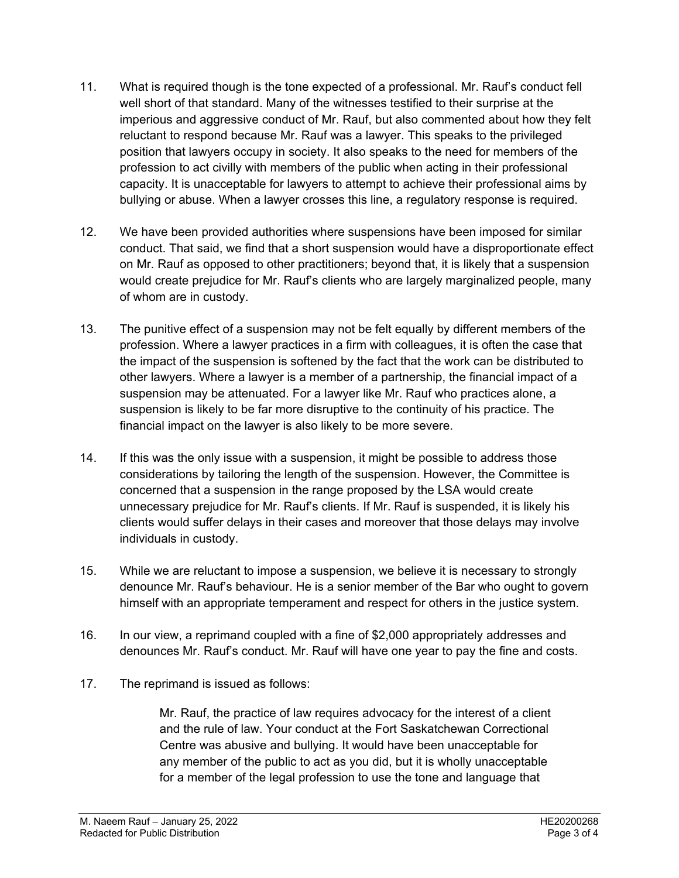- 11. What is required though is the tone expected of a professional. Mr. Rauf's conduct fell well short of that standard. Many of the witnesses testified to their surprise at the imperious and aggressive conduct of Mr. Rauf, but also commented about how they felt reluctant to respond because Mr. Rauf was a lawyer. This speaks to the privileged position that lawyers occupy in society. It also speaks to the need for members of the profession to act civilly with members of the public when acting in their professional capacity. It is unacceptable for lawyers to attempt to achieve their professional aims by bullying or abuse. When a lawyer crosses this line, a regulatory response is required.
- 12. We have been provided authorities where suspensions have been imposed for similar conduct. That said, we find that a short suspension would have a disproportionate effect on Mr. Rauf as opposed to other practitioners; beyond that, it is likely that a suspension would create prejudice for Mr. Rauf's clients who are largely marginalized people, many of whom are in custody.
- 13. The punitive effect of a suspension may not be felt equally by different members of the profession. Where a lawyer practices in a firm with colleagues, it is often the case that the impact of the suspension is softened by the fact that the work can be distributed to other lawyers. Where a lawyer is a member of a partnership, the financial impact of a suspension may be attenuated. For a lawyer like Mr. Rauf who practices alone, a suspension is likely to be far more disruptive to the continuity of his practice. The financial impact on the lawyer is also likely to be more severe.
- 14. If this was the only issue with a suspension, it might be possible to address those considerations by tailoring the length of the suspension. However, the Committee is concerned that a suspension in the range proposed by the LSA would create unnecessary prejudice for Mr. Rauf's clients. If Mr. Rauf is suspended, it is likely his clients would suffer delays in their cases and moreover that those delays may involve individuals in custody.
- 15. While we are reluctant to impose a suspension, we believe it is necessary to strongly denounce Mr. Rauf's behaviour. He is a senior member of the Bar who ought to govern himself with an appropriate temperament and respect for others in the justice system.
- 16. In our view, a reprimand coupled with a fine of \$2,000 appropriately addresses and denounces Mr. Rauf's conduct. Mr. Rauf will have one year to pay the fine and costs.
- 17. The reprimand is issued as follows:

Mr. Rauf, the practice of law requires advocacy for the interest of a client and the rule of law. Your conduct at the Fort Saskatchewan Correctional Centre was abusive and bullying. It would have been unacceptable for any member of the public to act as you did, but it is wholly unacceptable for a member of the legal profession to use the tone and language that